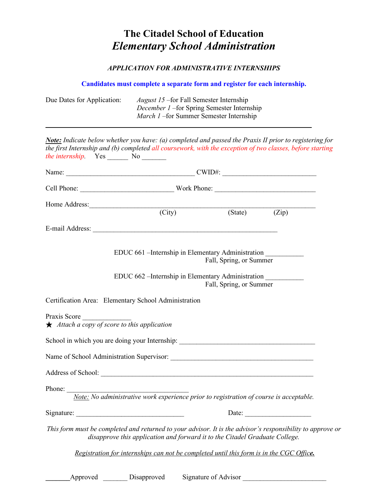## **The Citadel School of Education** *Elementary School Administration*

## *APPLICATION FOR ADMINISTRATIVE INTERNSHIPS*

## **Candidates must complete a separate form and register for each internship.**

| Due Dates for Application:                                                                                                                                                                                                                                               | <i>August 15</i> – for Fall Semester Internship<br>December 1-for Spring Semester Internship<br>March 1-for Summer Semester Internship |                      |                         |       |  |  |
|--------------------------------------------------------------------------------------------------------------------------------------------------------------------------------------------------------------------------------------------------------------------------|----------------------------------------------------------------------------------------------------------------------------------------|----------------------|-------------------------|-------|--|--|
| Note: Indicate below whether you have: (a) completed and passed the Praxis II prior to registering for<br>the first Internship and (b) completed all coursework, with the exception of two classes, before starting<br><i>the internship.</i> Yes _________ No _________ |                                                                                                                                        |                      |                         |       |  |  |
|                                                                                                                                                                                                                                                                          |                                                                                                                                        |                      |                         |       |  |  |
|                                                                                                                                                                                                                                                                          |                                                                                                                                        |                      |                         |       |  |  |
| Home Address: (City) (State)                                                                                                                                                                                                                                             |                                                                                                                                        |                      |                         |       |  |  |
|                                                                                                                                                                                                                                                                          |                                                                                                                                        |                      |                         | (Zip) |  |  |
|                                                                                                                                                                                                                                                                          |                                                                                                                                        |                      |                         |       |  |  |
|                                                                                                                                                                                                                                                                          | EDUC 661 - Internship in Elementary Administration                                                                                     |                      | Fall, Spring, or Summer |       |  |  |
|                                                                                                                                                                                                                                                                          | EDUC 662 - Internship in Elementary Administration                                                                                     |                      | Fall, Spring, or Summer |       |  |  |
| Certification Area: Elementary School Administration                                                                                                                                                                                                                     |                                                                                                                                        |                      |                         |       |  |  |
| Praxis Score<br>$\star$ Attach a copy of score to this application                                                                                                                                                                                                       |                                                                                                                                        |                      |                         |       |  |  |
| School in which you are doing your Internship: __________________________________                                                                                                                                                                                        |                                                                                                                                        |                      |                         |       |  |  |
|                                                                                                                                                                                                                                                                          |                                                                                                                                        |                      |                         |       |  |  |
| Address of School:                                                                                                                                                                                                                                                       |                                                                                                                                        |                      |                         |       |  |  |
| Phone:<br>Note: No administrative work experience prior to registration of course is acceptable.                                                                                                                                                                         |                                                                                                                                        |                      |                         |       |  |  |
|                                                                                                                                                                                                                                                                          |                                                                                                                                        |                      |                         |       |  |  |
| This form must be completed and returned to your advisor. It is the advisor's responsibility to approve or                                                                                                                                                               | disapprove this application and forward it to the Citadel Graduate College.                                                            |                      |                         |       |  |  |
|                                                                                                                                                                                                                                                                          | Registration for internships can not be completed until this form is in the CGC Office.                                                |                      |                         |       |  |  |
| Approved                                                                                                                                                                                                                                                                 | Disapproved                                                                                                                            | Signature of Advisor |                         |       |  |  |